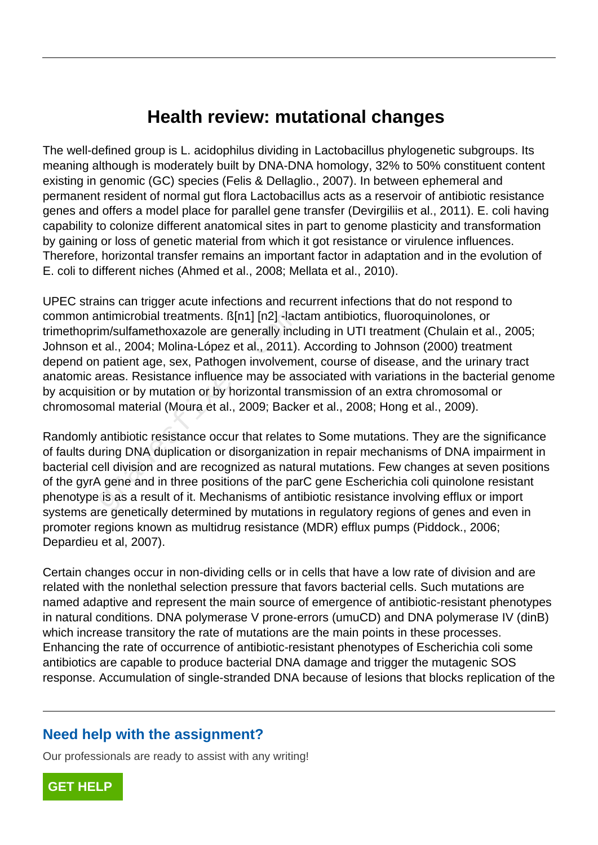## **Health review: mutational changes**

The well-defined group is L. acidophilus dividing in Lactobacillus phylogenetic subgroups. Its meaning although is moderately built by DNA-DNA homology, 32% to 50% constituent content existing in genomic (GC) species (Felis & Dellaglio., 2007). In between ephemeral and permanent resident of normal gut flora Lactobacillus acts as a reservoir of antibiotic resistance genes and offers a model place for parallel gene transfer (Devirgiliis et al., 2011). E. coli having capability to colonize different anatomical sites in part to genome plasticity and transformation by gaining or loss of genetic material from which it got resistance or virulence influences. Therefore, horizontal transfer remains an important factor in adaptation and in the evolution of E. coli to different niches (Ahmed et al., 2008; Mellata et al., 2010).

UPEC strains can trigger acute infections and recurrent infections that do not respond to common antimicrobial treatments. ß[n1] [n2] -lactam antibiotics, fluoroquinolones, or trimethoprim/sulfamethoxazole are generally including in UTI treatment (Chulain et al., 2005; Johnson et al., 2004; Molina-López et al., 2011). According to Johnson (2000) treatment depend on patient age, sex, Pathogen involvement, course of disease, and the urinary tract anatomic areas. Resistance influence may be associated with variations in the bacterial genome by acquisition or by mutation or by horizontal transmission of an extra chromosomal or chromosomal material (Moura et al., 2009; Backer et al., 2008; Hong et al., 2009). ntimicrobial treatments. ß[n1] [n2] -lact<br>im/sulfamethoxazole are generally inclust al., 2004; Molina-López et al., 2011).<br>patient age, sex, Pathogen involveme<br>areas. Resistance influence may be ass<br>tion or by mutation or

Randomly antibiotic resistance occur that relates to Some mutations. They are the significance of faults during DNA duplication or disorganization in repair mechanisms of DNA impairment in bacterial cell division and are recognized as natural mutations. Few changes at seven positions of the gyrA gene and in three positions of the parC gene Escherichia coli quinolone resistant phenotype is as a result of it. Mechanisms of antibiotic resistance involving efflux or import systems are genetically determined by mutations in regulatory regions of genes and even in promoter regions known as multidrug resistance (MDR) efflux pumps (Piddock., 2006; Depardieu et al, 2007).

Certain changes occur in non-dividing cells or in cells that have a low rate of division and are related with the nonlethal selection pressure that favors bacterial cells. Such mutations are named adaptive and represent the main source of emergence of antibiotic-resistant phenotypes in natural conditions. DNA polymerase V prone-errors (umuCD) and DNA polymerase IV (dinB) which increase transitory the rate of mutations are the main points in these processes. Enhancing the rate of occurrence of antibiotic-resistant phenotypes of Escherichia coli some antibiotics are capable to produce bacterial DNA damage and trigger the mutagenic SOS response. Accumulation of single-stranded DNA because of lesions that blocks replication of the

## **Need help with the assignment?**

Our professionals are ready to assist with any writing!